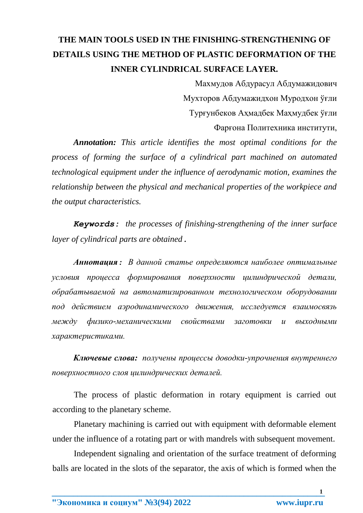## THE MAIN TOOLS USED IN THE FINISHING-STRENGTHENING OF DETAILS USING THE METHOD OF PLASTIC DEFORMATION OF THE **INNER CYLINDRICAL SURFACE LAYER.**

Махмудов Абдурасул Абдумажидович Мухторов Абдумажидхон Муродхон ўғли Тургунбеков Ахмадбек Махмудбек ўғли Фарғона Политехника институти,

**Annotation:** This article identifies the most optimal conditions for the process of forming the surface of a cylindrical part machined on automated technological equipment under the influence of aerodynamic motion, examines the relationship between the physical and mechanical properties of the workpiece and the output characteristics.

**Keywords:** the processes of finishing-strengthening of the inner surface layer of cylindrical parts are obtained.

Аннотация: В данной статье определяются наиболее оптимальные условия процесса формирования поверхности иилиндрической детали, обрабатываемой на автоматизированном технологическом оборудовании под действием аэродинамического движения, исследуется взаимосвязь между физико-механическими свойствами заготовки и выходными характеристиками.

Ключевые слова: получены процессы доводки-упрочнения внутреннего поверхностного слоя цилиндрических деталей.

The process of plastic deformation in rotary equipment is carried out according to the planetary scheme.

Planetary machining is carried out with equipment with deformable element under the influence of a rotating part or with mandrels with subsequent movement.

Independent signaling and orientation of the surface treatment of deforming balls are located in the slots of the separator, the axis of which is formed when the

 $\mathbf{1}$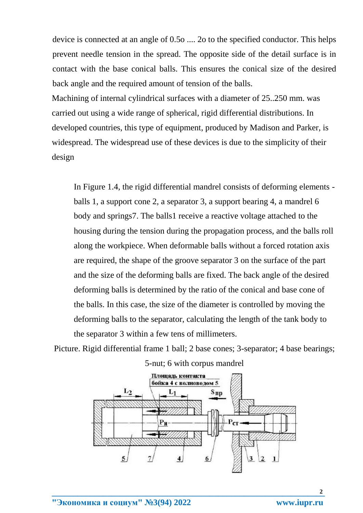device is connected at an angle of 0.5o .... 2o to the specified conductor. This helps prevent needle tension in the spread. The opposite side of the detail surface is in contact with the base conical balls. This ensures the conical size of the desired back angle and the required amount of tension of the balls.

Machining of internal cylindrical surfaces with a diameter of 25..250 mm. was carried out using a wide range of spherical, rigid differential distributions. In developed countries, this type of equipment, produced by Madison and Parker, is widespread. The widespread use of these devices is due to the simplicity of their design

In Figure 1.4, the rigid differential mandrel consists of deforming elements balls 1, a support cone 2, a separator 3, a support bearing 4, a mandrel 6 body and springs7. The balls1 receive a reactive voltage attached to the housing during the tension during the propagation process, and the balls roll along the workpiece. When deformable balls without a forced rotation axis are required, the shape of the groove separator 3 on the surface of the part and the size of the deforming balls are fixed. The back angle of the desired deforming balls is determined by the ratio of the conical and base cone of the balls. In this case, the size of the diameter is controlled by moving the deforming balls to the separator, calculating the length of the tank body to the separator 3 within a few tens of millimeters.

Picture. Rigid differential frame 1 ball; 2 base cones; 3-separator; 4 base bearings;



5-nut; 6 with corpus mandrel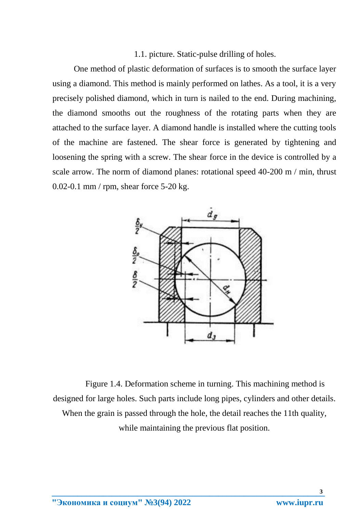1.1. picture. Static-pulse drilling of holes.

One method of plastic deformation of surfaces is to smooth the surface layer using a diamond. This method is mainly performed on lathes. As a tool, it is a very precisely polished diamond, which in turn is nailed to the end. During machining, the diamond smooths out the roughness of the rotating parts when they are attached to the surface layer. A diamond handle is installed where the cutting tools of the machine are fastened. The shear force is generated by tightening and loosening the spring with a screw. The shear force in the device is controlled by a scale arrow. The norm of diamond planes: rotational speed 40-200 m / min, thrust 0.02-0.1 mm / rpm, shear force 5-20 kg.



Figure 1.4. Deformation scheme in turning. This machining method is designed for large holes. Such parts include long pipes, cylinders and other details. When the grain is passed through the hole, the detail reaches the 11th quality, while maintaining the previous flat position.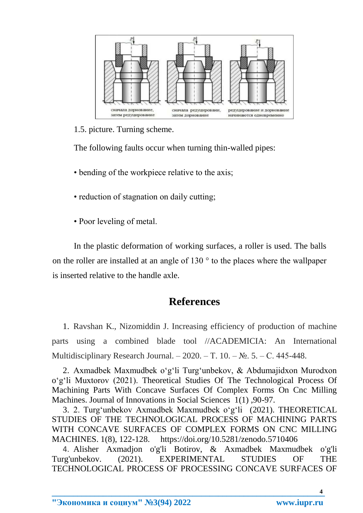

1.5. picture. Turning scheme.

The following faults occur when turning thin-walled pipes:

- bending of the workpiece relative to the axis;
- reduction of stagnation on daily cutting;
- Poor leveling of metal.

In the plastic deformation of working surfaces, a roller is used. The balls on the roller are installed at an angle of 130 ° to the places where the wallpaper is inserted relative to the handle axle.

## **References**

1. Ravshan K., Nizomiddin J. Increasing efficiency of production of machine parts using a combined blade tool //ACADEMICIA: An International Multidisciplinary Research Journal. – 2020. – T. 10. –  $\mathbb{N}_2$ . 5. – C. 445-448.

2. Axmadbek Maxmudbek o'g'li Turg'unbekov, & Abdumajidxon Murodxon o'g'li Muxtorov (2021). Theoretical Studies Of The Technological Process Of Machining Parts With Concave Surfaces Of Complex Forms On Cnc Milling Machines. Journal of Innovations in Social Sciences 1(1) ,90-97.

3. 2. Turg'unbekov Axmadbek Maxmudbek o'g'li (2021). THEORETICAL STUDIES OF THE TECHNOLOGICAL PROCESS OF MACHINING PARTS WITH CONCAVE SURFACES OF COMPLEX FORMS ON CNC MILLING MACHINES. 1(8), 122-128. https://doi.org/10.5281/zenodo.5710406

4. Alisher Axmadjon o'g'li Botirov, & Axmadbek Maxmudbek o'g'li Turg'unbekov. (2021). EXPERIMENTAL STUDIES OF THE TECHNOLOGICAL PROCESS OF PROCESSING CONCAVE SURFACES OF